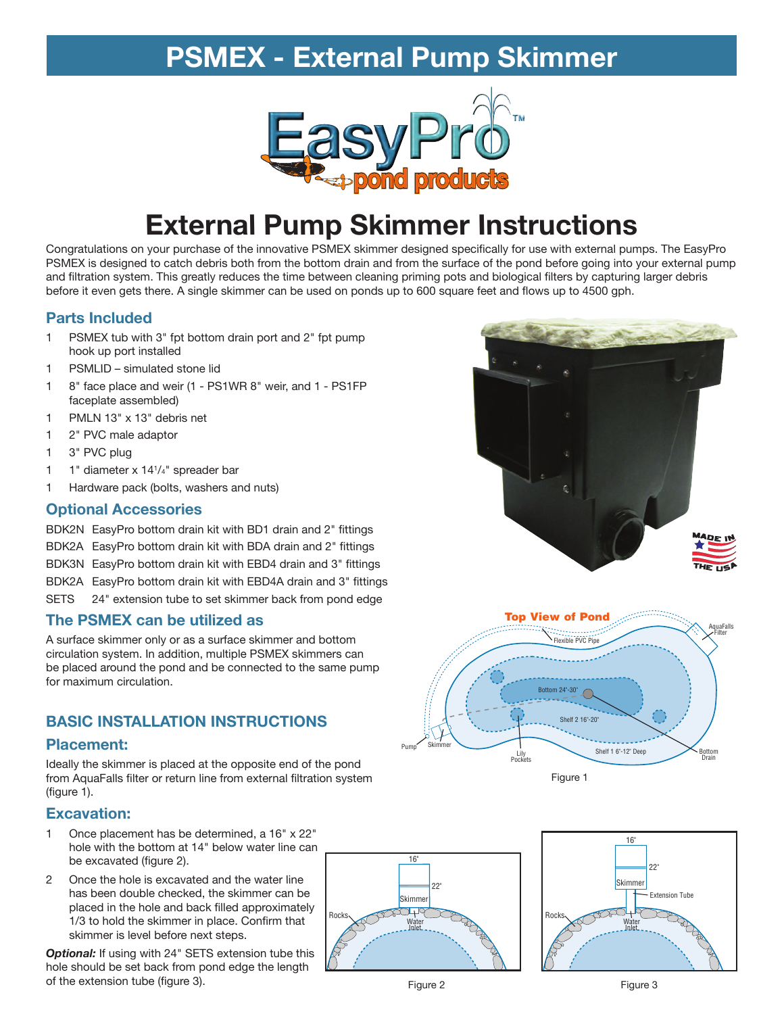# **PSMEX - External Pump Skimmer**



# **External Pump Skimmer Instructions**

Congratulations on your purchase of the innovative PSMEX skimmer designed specifically for use with external pumps. The EasyPro PSMEX is designed to catch debris both from the bottom drain and from the surface of the pond before going into your external pump and filtration system. This greatly reduces the time between cleaning priming pots and biological filters by capturing larger debris before it even gets there. A single skimmer can be used on ponds up to 600 square feet and flows up to 4500 gph.

#### **Parts Included**

- 1 PSMEX tub with 3" fpt bottom drain port and 2" fpt pump hook up port installed
- 1 PSMLID simulated stone lid
- 1 8" face place and weir (1 PS1WR 8" weir, and 1 PS1FP faceplate assembled)
- 1 PMLN 13" x 13" debris net
- 1 2" PVC male adaptor
- 1 3" PVC plug
- 1 1" diameter x 14<sup>1</sup> /4" spreader bar
- 1 Hardware pack (bolts, washers and nuts)

### **Optional Accessories**

BDK2N EasyPro bottom drain kit with BD1 drain and 2" fittings BDK2A EasyPro bottom drain kit with BDA drain and 2" fittings

- BDK3N EasyPro bottom drain kit with EBD4 drain and 3" fittings
- BDK2A EasyPro bottom drain kit with EBD4A drain and 3" fittings
- SETS 24" extension tube to set skimmer back from pond edge

### **The PSMEX can be utilized as**

A surface skimmer only or as a surface skimmer and bottom circulation system. In addition, multiple PSMEX skimmers can be placed around the pond and be connected to the same pump for maximum circulation.

# **BASIC INSTALLATION INSTRUCTIONS**

#### **Placement:**

Ideally the skimmer is placed at the opposite end of the pond from AquaFalls filter or return line from external filtration system (figure 1).

### **Excavation:**

- 1 Once placement has be determined, a 16" x 22" hole with the bottom at 14" below water line can be excavated (figure 2).
- 2 Once the hole is excavated and the water line has been double checked, the skimmer can be placed in the hole and back filled approximately 1/3 to hold the skimmer in place. Confirm that skimmer is level before next steps.

**Optional:** If using with 24" SETS extension tube this hole should be set back from pond edge the length of the extension tube (figure 3).









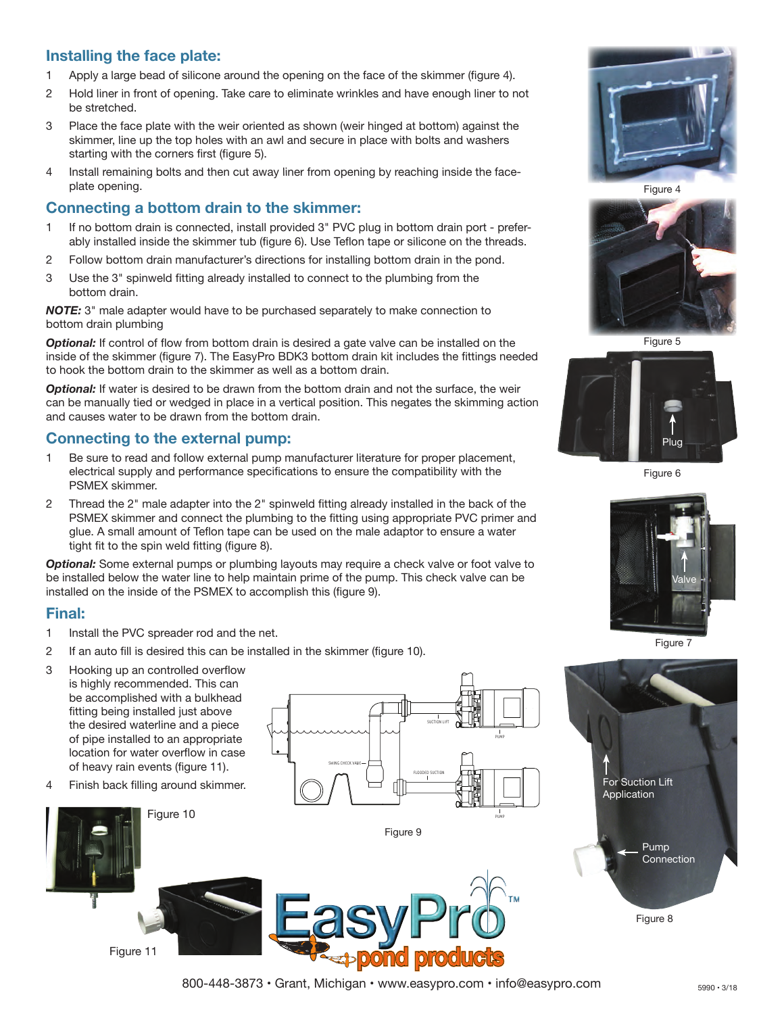## **Installing the face plate:**

- 1 Apply a large bead of silicone around the opening on the face of the skimmer (figure 4).
- 2 Hold liner in front of opening. Take care to eliminate wrinkles and have enough liner to not be stretched.
- 3 Place the face plate with the weir oriented as shown (weir hinged at bottom) against the skimmer, line up the top holes with an awl and secure in place with bolts and washers starting with the corners first (figure 5).
- 4 Install remaining bolts and then cut away liner from opening by reaching inside the faceplate opening.

#### **Connecting a bottom drain to the skimmer:**

- 1 If no bottom drain is connected, install provided 3" PVC plug in bottom drain port preferably installed inside the skimmer tub (figure 6). Use Teflon tape or silicone on the threads.
- 2 Follow bottom drain manufacturer's directions for installing bottom drain in the pond.
- 3 Use the 3" spinweld fitting already installed to connect to the plumbing from the bottom drain.

*NOTE:* 3" male adapter would have to be purchased separately to make connection to bottom drain plumbing

*Optional:* If control of flow from bottom drain is desired a gate valve can be installed on the inside of the skimmer (figure 7). The EasyPro BDK3 bottom drain kit includes the fittings needed to hook the bottom drain to the skimmer as well as a bottom drain.

**Optional:** If water is desired to be drawn from the bottom drain and not the surface, the weir can be manually tied or wedged in place in a vertical position. This negates the skimming action and causes water to be drawn from the bottom drain.

#### **Connecting to the external pump:**

- 1 Be sure to read and follow external pump manufacturer literature for proper placement, electrical supply and performance specifications to ensure the compatibility with the PSMEX skimmer.
- 2 Thread the 2" male adapter into the 2" spinweld fitting already installed in the back of the PSMEX skimmer and connect the plumbing to the fitting using appropriate PVC primer and glue. A small amount of Teflon tape can be used on the male adaptor to ensure a water tight fit to the spin weld fitting (figure 8).

*Optional:* Some external pumps or plumbing layouts may require a check valve or foot valve to be installed below the water line to help maintain prime of the pump. This check valve can be installed on the inside of the PSMEX to accomplish this (figure 9).

#### **Final:**

- 1 Install the PVC spreader rod and the net.
- 2 If an auto fill is desired this can be installed in the skimmer (figure 10).
- 3 Hooking up an controlled overflow is highly recommended. This can be accomplished with a bulkhead fitting being installed just above the desired waterline and a piece of pipe installed to an appropriate location for water overflow in case of heavy rain events (figure 11).
- 4 Finish back filling around skimmer.

Figure 11

Figure 10





Figure 4



Figure 5



Figure 6